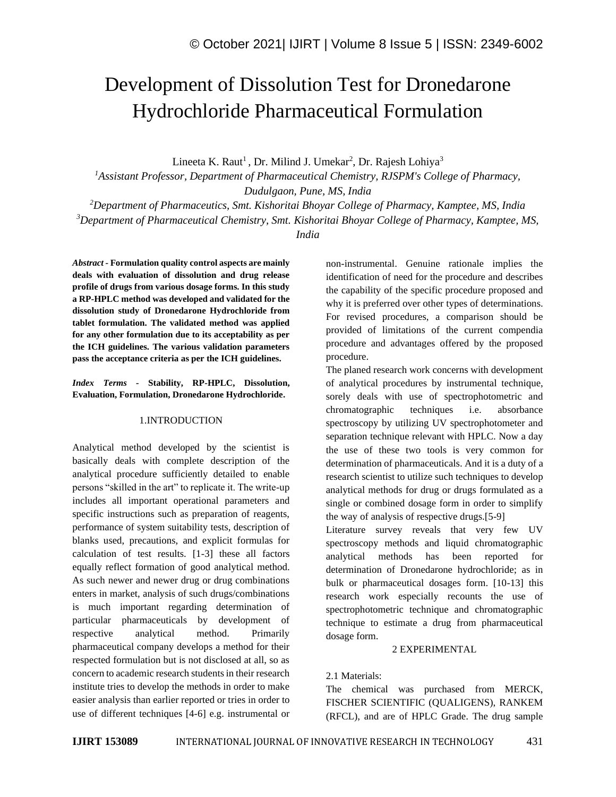# Development of Dissolution Test for Dronedarone Hydrochloride Pharmaceutical Formulation

Lineeta K. Raut<sup>1</sup>, Dr. Milind J. Umekar<sup>2</sup>, Dr. Rajesh Lohiya<sup>3</sup>

*<sup>1</sup>Assistant Professor, Department of Pharmaceutical Chemistry, RJSPM's College of Pharmacy, Dudulgaon, Pune, MS, India*

*<sup>2</sup>Department of Pharmaceutics, Smt. Kishoritai Bhoyar College of Pharmacy, Kamptee, MS, India <sup>3</sup>Department of Pharmaceutical Chemistry, Smt. Kishoritai Bhoyar College of Pharmacy, Kamptee, MS,* 

*India* 

*Abstract -* **Formulation quality control aspects are mainly deals with evaluation of dissolution and drug release profile of drugs from various dosage forms. In this study a RP-HPLC method was developed and validated for the dissolution study of Dronedarone Hydrochloride from tablet formulation. The validated method was applied for any other formulation due to its acceptability as per the ICH guidelines. The various validation parameters pass the acceptance criteria as per the ICH guidelines.**

*Index Terms -* **Stability, RP-HPLC, Dissolution, Evaluation, Formulation, Dronedarone Hydrochloride.**

# 1.INTRODUCTION

Analytical method developed by the scientist is basically deals with complete description of the analytical procedure sufficiently detailed to enable persons "skilled in the art" to replicate it. The write-up includes all important operational parameters and specific instructions such as preparation of reagents, performance of system suitability tests, description of blanks used, precautions, and explicit formulas for calculation of test results. [1-3] these all factors equally reflect formation of good analytical method. As such newer and newer drug or drug combinations enters in market, analysis of such drugs/combinations is much important regarding determination of particular pharmaceuticals by development of respective analytical method. Primarily pharmaceutical company develops a method for their respected formulation but is not disclosed at all, so as concern to academic research students in their research institute tries to develop the methods in order to make easier analysis than earlier reported or tries in order to use of different techniques [4-6] e.g. instrumental or

non-instrumental. Genuine rationale implies the identification of need for the procedure and describes the capability of the specific procedure proposed and why it is preferred over other types of determinations. For revised procedures, a comparison should be provided of limitations of the current compendia procedure and advantages offered by the proposed procedure.

The planed research work concerns with development of analytical procedures by instrumental technique, sorely deals with use of spectrophotometric and chromatographic techniques i.e. absorbance spectroscopy by utilizing UV spectrophotometer and separation technique relevant with HPLC. Now a day the use of these two tools is very common for determination of pharmaceuticals. And it is a duty of a research scientist to utilize such techniques to develop analytical methods for drug or drugs formulated as a single or combined dosage form in order to simplify the way of analysis of respective drugs.[5-9]

Literature survey reveals that very few UV spectroscopy methods and liquid chromatographic analytical methods has been reported for determination of Dronedarone hydrochloride; as in bulk or pharmaceutical dosages form. [10-13] this research work especially recounts the use of spectrophotometric technique and chromatographic technique to estimate a drug from pharmaceutical dosage form.

#### 2 EXPERIMENTAL

# 2.1 Materials:

The chemical was purchased from MERCK, FISCHER SCIENTIFIC (QUALIGENS), RANKEM (RFCL), and are of HPLC Grade. The drug sample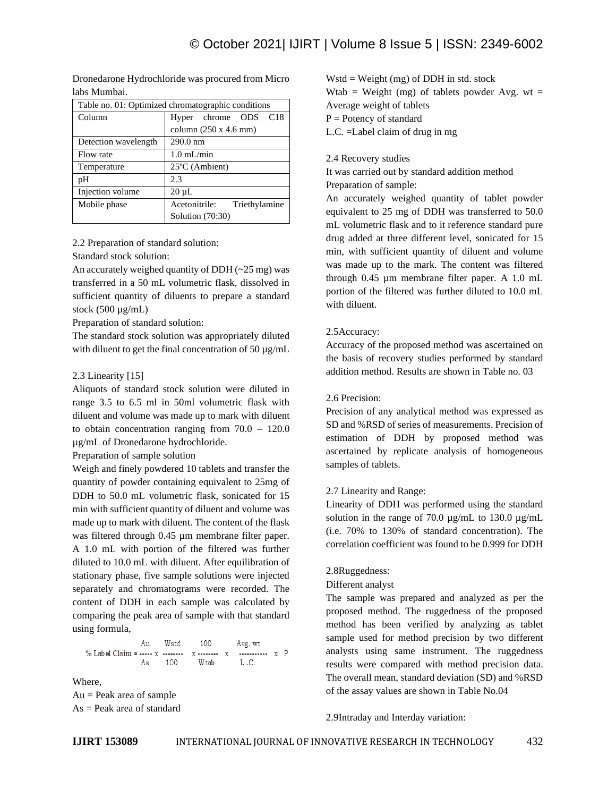Table no. 01: Optimized chromatographic conditions Column Hyper chrome ODS C18 column (250 x 4.6 mm) Detection wavelength 290.0 nm Flow rate 1.0 mL/min Temperature 25<sup>o</sup>C (Ambient) pH 2.3 Injection volume 20 µL Mobile phase Acetonitrile: Triethylamine Solution (70:30)

Dronedarone Hydrochloride was procured from Micro labs Mumbai.

# 2.2 Preparation of standard solution:

Standard stock solution:

An accurately weighed quantity of DDH  $(-25 \text{ mg})$  was transferred in a 50 mL volumetric flask, dissolved in sufficient quantity of diluents to prepare a standard stock  $(500 \mu g/mL)$ 

Preparation of standard solution:

The standard stock solution was appropriately diluted with diluent to get the final concentration of  $50 \mu g/mL$ 

# 2.3 Linearity [15]

Aliquots of standard stock solution were diluted in range 3.5 to 6.5 ml in 50ml volumetric flask with diluent and volume was made up to mark with diluent to obtain concentration ranging from 70.0 – 120.0 µg/mL of Dronedarone hydrochloride.

Preparation of sample solution

Weigh and finely powdered 10 tablets and transfer the quantity of powder containing equivalent to 25mg of DDH to 50.0 mL volumetric flask, sonicated for 15 min with sufficient quantity of diluent and volume was made up to mark with diluent. The content of the flask was filtered through 0.45 µm membrane filter paper. A 1.0 mL with portion of the filtered was further diluted to 10.0 mL with diluent. After equilibration of stationary phase, five sample solutions were injected separately and chromatograms were recorded. The content of DDH in each sample was calculated by comparing the peak area of sample with that standard using formula,

Au Wstd 100 Avg. wt 100  ${\tt L}$  .C.  $As$ Wtab

Where, Au = Peak area of sample As = Peak area of standard  $Wstd = Weight(mg) of DDH in std. stock$ Wtab = Weight (mg) of tablets powder Avg. wt = Average weight of tablets

 $P =$  Potency of standard

L.C. =Label claim of drug in mg

#### 2.4 Recovery studies

It was carried out by standard addition method Preparation of sample:

An accurately weighed quantity of tablet powder equivalent to 25 mg of DDH was transferred to 50.0 mL volumetric flask and to it reference standard pure drug added at three different level, sonicated for 15 min, with sufficient quantity of diluent and volume was made up to the mark. The content was filtered through 0.45 µm membrane filter paper. A 1.0 mL portion of the filtered was further diluted to 10.0 mL with diluent.

# 2.5Accuracy:

Accuracy of the proposed method was ascertained on the basis of recovery studies performed by standard addition method. Results are shown in Table no. 03

#### 2.6 Precision:

Precision of any analytical method was expressed as SD and %RSD of series of measurements. Precision of estimation of DDH by proposed method was ascertained by replicate analysis of homogeneous samples of tablets.

#### 2.7 Linearity and Range:

Linearity of DDH was performed using the standard solution in the range of 70.0  $\mu$ g/mL to 130.0  $\mu$ g/mL (i.e. 70% to 130% of standard concentration). The correlation coefficient was found to be 0.999 for DDH

#### 2.8Ruggedness:

#### Different analyst

The sample was prepared and analyzed as per the proposed method. The ruggedness of the proposed method has been verified by analyzing as tablet sample used for method precision by two different analysts using same instrument. The ruggedness results were compared with method precision data. The overall mean, standard deviation (SD) and %RSD of the assay values are shown in Table No.04

#### 2.9Intraday and Interday variation: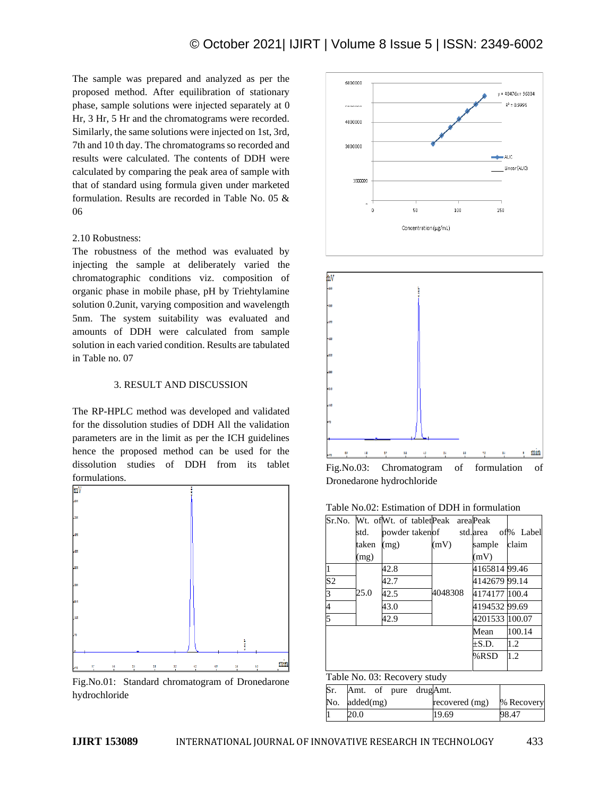The sample was prepared and analyzed as per the proposed method. After equilibration of stationary phase, sample solutions were injected separately at 0 Hr, 3 Hr, 5 Hr and the chromatograms were recorded. Similarly, the same solutions were injected on 1st, 3rd, 7th and 10 th day. The chromatograms so recorded and results were calculated. The contents of DDH were calculated by comparing the peak area of sample with that of standard using formula given under marketed formulation. Results are recorded in Table No. 05 & 06

# 2.10 Robustness:

The robustness of the method was evaluated by injecting the sample at deliberately varied the chromatographic conditions viz. composition of organic phase in mobile phase, pH by Triehtylamine solution 0.2unit, varying composition and wavelength 5nm. The system suitability was evaluated and amounts of DDH were calculated from sample solution in each varied condition. Results are tabulated in Table no. 07

#### 3. RESULT AND DISCUSSION

The RP-HPLC method was developed and validated for the dissolution studies of DDH All the validation parameters are in the limit as per the ICH guidelines hence the proposed method can be used for the dissolution studies of DDH from its tablet formulations.



Fig.No.01: Standard chromatogram of Dronedarone hydrochloride





Fig.No.03: Chromatogram of formulation of Dronedarone hydrochloride

Table No.02: Estimation of DDH in formulation

|                |       | Sr.No. Wt. of Wt. of tablet Peak area Peak |         |                |           |
|----------------|-------|--------------------------------------------|---------|----------------|-----------|
|                | std.  | powder taken of std. area                  |         |                | of% Label |
|                | taken | (mg)                                       | (mV)    | sample         | claim     |
|                | (mg)  |                                            |         | (mV)           |           |
|                |       | 42.8                                       |         | 4165814 99.46  |           |
| S <sub>2</sub> |       | 42.7                                       |         | 4142679 99.14  |           |
| 3              | 25.0  | 42.5                                       | 4048308 | 4174177 100.4  |           |
| 4              |       | 43.0                                       |         | 4194532 99.69  |           |
| 5              |       | 42.9                                       |         | 4201533 100.07 |           |
|                |       |                                            |         | Mean           | 100.14    |
|                |       |                                            |         | $\pm$ S.D.     | 1.2       |
|                |       |                                            |         | %RSD           | 1.2       |
|                |       |                                            |         |                |           |

# Table No. 03: Recovery study

| Sr. | Amt. of pure drugAmt. |                |            |
|-----|-----------------------|----------------|------------|
|     | No. $added(mg)$       | recovered (mg) | % Recovery |
|     | 20.0                  | 19.69          | 98.47      |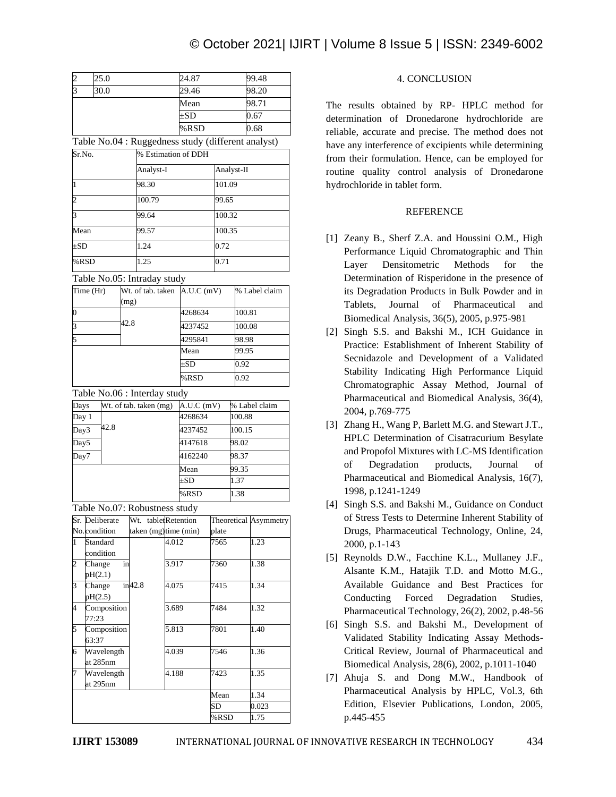| $\overline{c}$           | 25.0                          |           |                        | 24.87    |                                                    | 99.48  |                        |                              |  |
|--------------------------|-------------------------------|-----------|------------------------|----------|----------------------------------------------------|--------|------------------------|------------------------------|--|
| 3                        | 30.0                          |           |                        |          | 29.46                                              |        |                        | 98.20                        |  |
|                          |                               |           |                        | Mean     |                                                    |        |                        | 98.71                        |  |
|                          |                               |           |                        | $\pm SD$ |                                                    |        | 0.67                   |                              |  |
|                          |                               |           |                        | %RSD     |                                                    | 0.68   |                        |                              |  |
|                          |                               |           |                        |          | Table No.04 : Ruggedness study (different analyst) |        |                        |                              |  |
| Sr.No.                   |                               |           |                        |          | % Estimation of DDH                                |        |                        |                              |  |
| Analyst-I                |                               |           |                        |          |                                                    |        | Analyst-II             |                              |  |
| 98.30<br>1               |                               |           |                        | 101.09   |                                                    |        |                        |                              |  |
| $\overline{c}$<br>100.79 |                               |           |                        |          |                                                    | 99.65  |                        |                              |  |
| 3                        |                               |           | 99.64                  |          | 100.32                                             |        |                        |                              |  |
| Mean                     |                               |           | 99.57                  |          | 100.35                                             |        |                        |                              |  |
| $\pm SD$                 |                               |           | 1.24                   |          | 0.72                                               |        |                        |                              |  |
| %RSD                     |                               |           | 1.25                   |          | 0.71                                               |        |                        |                              |  |
|                          | Table No.05: Intraday study   |           |                        |          |                                                    |        |                        |                              |  |
| Time (Hr)                |                               |           |                        |          | Wt. of tab. taken $A.U.C(mV)$                      |        |                        | % Label claim                |  |
|                          |                               | (mg)      |                        |          |                                                    |        |                        |                              |  |
| $\overline{0}$           |                               | 42.8      | 4268634                |          |                                                    | 100.81 |                        |                              |  |
| 3                        |                               |           | 4237452                |          |                                                    | 100.08 |                        |                              |  |
| 5                        |                               |           |                        | 4295841  |                                                    | 98.98  |                        |                              |  |
|                          |                               |           |                        |          | Mean                                               |        |                        | 99.95                        |  |
|                          |                               |           |                        |          | ±SD                                                |        |                        | 0.92                         |  |
|                          |                               |           |                        | %RSD     |                                                    | 0.92   |                        |                              |  |
|                          | Table No.06 : Interday study  |           |                        |          |                                                    |        |                        |                              |  |
| Days                     |                               |           | Wt. of tab. taken (mg) |          | A.U.C(mV)                                          |        |                        | % Label claim                |  |
| Day 1                    |                               |           |                        |          | 4268634<br>100.88                                  |        |                        |                              |  |
| Day3                     | 42.8                          |           |                        |          | 4237452                                            | 100.15 |                        |                              |  |
| Day5                     |                               |           |                        |          | 4147618                                            |        | 98.02                  |                              |  |
| Day7                     |                               |           |                        |          | 4162240<br>Mean                                    |        | 98.37<br>99.35<br>1.37 |                              |  |
|                          |                               |           |                        |          |                                                    |        |                        |                              |  |
|                          |                               |           |                        | $\pm SD$ |                                                    |        |                        |                              |  |
|                          |                               |           |                        |          | %RSD                                               |        | 1.38                   |                              |  |
|                          | Table No.07: Robustness study |           |                        |          |                                                    |        |                        |                              |  |
|                          | Sr. Deliberate                |           | Wt. tabletRetention    |          |                                                    |        |                        | <b>Theoretical Asymmetry</b> |  |
|                          | No.condition                  |           | taken (mg)time (min)   |          |                                                    | plate  |                        |                              |  |
| 1                        | Standard<br>condition         |           |                        | 4.012    |                                                    | 7565   |                        | 1.23                         |  |
| $\overline{\mathbf{c}}$  | Change                        | in        |                        | 3.917    |                                                    | 7360   |                        | 1.38                         |  |
|                          | pH(2.1)                       |           |                        |          |                                                    |        |                        |                              |  |
| 3                        | Change                        | $in$ 42.8 |                        | 4.075    |                                                    | 7415   |                        | 1.34                         |  |
|                          | pH(2.5)                       |           |                        |          |                                                    |        |                        |                              |  |
| 4                        | Composition<br>77:23          |           | 3.689                  |          |                                                    | 7484   |                        | 1.32                         |  |
| 5                        | Composition                   |           | 5.813                  |          |                                                    | 7801   |                        | 1.40                         |  |
|                          | 63:37                         |           |                        |          |                                                    |        |                        |                              |  |
| Wavelength<br>6          |                               |           | 4.039                  |          | 7546                                               |        | 1.36                   |                              |  |
| 7                        | at 285nm<br>Wavelength        |           |                        | 4.188    |                                                    | 7423   |                        | 1.35                         |  |
|                          | at 295nm                      |           |                        |          |                                                    |        |                        |                              |  |
|                          |                               |           |                        |          |                                                    | Mean   |                        | 1.34                         |  |
|                          |                               |           |                        |          |                                                    | SD     |                        | 0.023                        |  |

%RSD 1.75

# 4. CONCLUSION

The results obtained by RP- HPLC method for determination of Dronedarone hydrochloride are reliable, accurate and precise. The method does not have any interference of excipients while determining from their formulation. Hence, can be employed for routine quality control analysis of Dronedarone hydrochloride in tablet form.

# REFERENCE

- [1] Zeany B., Sherf Z.A. and Houssini O.M., High Performance Liquid Chromatographic and Thin Layer Densitometric Methods for the Determination of Risperidone in the presence of its Degradation Products in Bulk Powder and in Tablets, Journal of Pharmaceutical and Biomedical Analysis, 36(5), 2005, p.975-981
- [2] Singh S.S. and Bakshi M., ICH Guidance in Practice: Establishment of Inherent Stability of Secnidazole and Development of a Validated Stability Indicating High Performance Liquid Chromatographic Assay Method, Journal of Pharmaceutical and Biomedical Analysis, 36(4), 2004, p.769-775
- [3] Zhang H., Wang P, Barlett M.G. and Stewart J.T., HPLC Determination of Cisatracurium Besylate and Propofol Mixtures with LC-MS Identification of Degradation products, Journal of Pharmaceutical and Biomedical Analysis, 16(7), 1998, p.1241-1249
- [4] Singh S.S. and Bakshi M., Guidance on Conduct of Stress Tests to Determine Inherent Stability of Drugs, Pharmaceutical Technology, Online, 24, 2000, p.1-143
- [5] Reynolds D.W., Facchine K.L., Mullaney J.F., Alsante K.M., Hatajik T.D. and Motto M.G., Available Guidance and Best Practices for Conducting Forced Degradation Studies, Pharmaceutical Technology, 26(2), 2002, p.48-56
- [6] Singh S.S. and Bakshi M., Development of Validated Stability Indicating Assay Methods-Critical Review, Journal of Pharmaceutical and Biomedical Analysis, 28(6), 2002, p.1011-1040
- [7] Ahuja S. and Dong M.W., Handbook of Pharmaceutical Analysis by HPLC, Vol.3, 6th Edition, Elsevier Publications, London, 2005, p.445-455